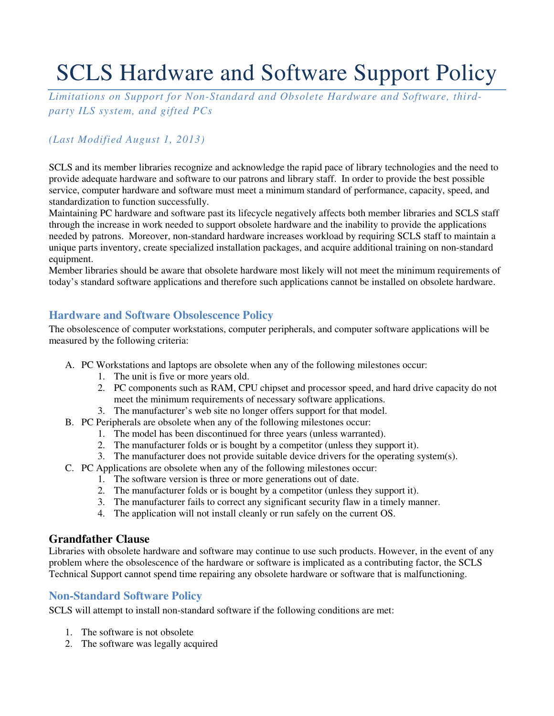# SCLS Hardware and Software Support Policy

*Limitations on Support for Non-Standard and Obsolete Hardware and Software, thirdparty ILS system, and gifted PCs* 

# *(Last Modified August 1, 2013)*

SCLS and its member libraries recognize and acknowledge the rapid pace of library technologies and the need to provide adequate hardware and software to our patrons and library staff. In order to provide the best possible service, computer hardware and software must meet a minimum standard of performance, capacity, speed, and standardization to function successfully.

Maintaining PC hardware and software past its lifecycle negatively affects both member libraries and SCLS staff through the increase in work needed to support obsolete hardware and the inability to provide the applications needed by patrons. Moreover, non-standard hardware increases workload by requiring SCLS staff to maintain a unique parts inventory, create specialized installation packages, and acquire additional training on non-standard equipment.

Member libraries should be aware that obsolete hardware most likely will not meet the minimum requirements of today's standard software applications and therefore such applications cannot be installed on obsolete hardware.

## **Hardware and Software Obsolescence Policy**

The obsolescence of computer workstations, computer peripherals, and computer software applications will be measured by the following criteria:

- A. PC Workstations and laptops are obsolete when any of the following milestones occur:
	- 1. The unit is five or more years old.
	- 2. PC components such as RAM, CPU chipset and processor speed, and hard drive capacity do not meet the minimum requirements of necessary software applications.
	- 3. The manufacturer's web site no longer offers support for that model.
- B. PC Peripherals are obsolete when any of the following milestones occur:
	- 1. The model has been discontinued for three years (unless warranted).
	- 2. The manufacturer folds or is bought by a competitor (unless they support it).
	- 3. The manufacturer does not provide suitable device drivers for the operating system(s).
- C. PC Applications are obsolete when any of the following milestones occur:
	- 1. The software version is three or more generations out of date.
	- 2. The manufacturer folds or is bought by a competitor (unless they support it).
	- 3. The manufacturer fails to correct any significant security flaw in a timely manner.
	- 4. The application will not install cleanly or run safely on the current OS.

#### **Grandfather Clause**

Libraries with obsolete hardware and software may continue to use such products. However, in the event of any problem where the obsolescence of the hardware or software is implicated as a contributing factor, the SCLS Technical Support cannot spend time repairing any obsolete hardware or software that is malfunctioning.

### **Non-Standard Software Policy**

SCLS will attempt to install non-standard software if the following conditions are met:

- 1. The software is not obsolete
- 2. The software was legally acquired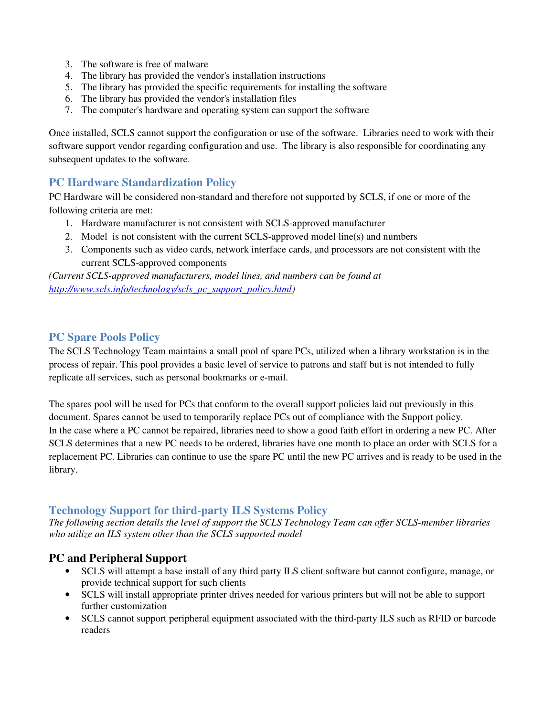- 3. The software is free of malware
- 4. The library has provided the vendor's installation instructions
- 5. The library has provided the specific requirements for installing the software
- 6. The library has provided the vendor's installation files
- 7. The computer's hardware and operating system can support the software

Once installed, SCLS cannot support the configuration or use of the software. Libraries need to work with their software support vendor regarding configuration and use. The library is also responsible for coordinating any subsequent updates to the software.

## **PC Hardware Standardization Policy**

PC Hardware will be considered non-standard and therefore not supported by SCLS, if one or more of the following criteria are met:

- 1. Hardware manufacturer is not consistent with SCLS-approved manufacturer
- 2. Model is not consistent with the current SCLS-approved model line(s) and numbers
- 3. Components such as video cards, network interface cards, and processors are not consistent with the current SCLS-approved components

*(Current SCLS-approved manufacturers, model lines, and numbers can be found at http://www.scls.info/technology/scls\_pc\_support\_policy.html)* 

## **PC Spare Pools Policy**

The SCLS Technology Team maintains a small pool of spare PCs, utilized when a library workstation is in the process of repair. This pool provides a basic level of service to patrons and staff but is not intended to fully replicate all services, such as personal bookmarks or e-mail.

The spares pool will be used for PCs that conform to the overall support policies laid out previously in this document. Spares cannot be used to temporarily replace PCs out of compliance with the Support policy. In the case where a PC cannot be repaired, libraries need to show a good faith effort in ordering a new PC. After SCLS determines that a new PC needs to be ordered, libraries have one month to place an order with SCLS for a replacement PC. Libraries can continue to use the spare PC until the new PC arrives and is ready to be used in the library.

### **Technology Support for third-party ILS Systems Policy**

*The following section details the level of support the SCLS Technology Team can offer SCLS-member libraries who utilize an ILS system other than the SCLS supported model* 

### **PC and Peripheral Support**

- SCLS will attempt a base install of any third party ILS client software but cannot configure, manage, or provide technical support for such clients
- SCLS will install appropriate printer drives needed for various printers but will not be able to support further customization
- SCLS cannot support peripheral equipment associated with the third-party ILS such as RFID or barcode readers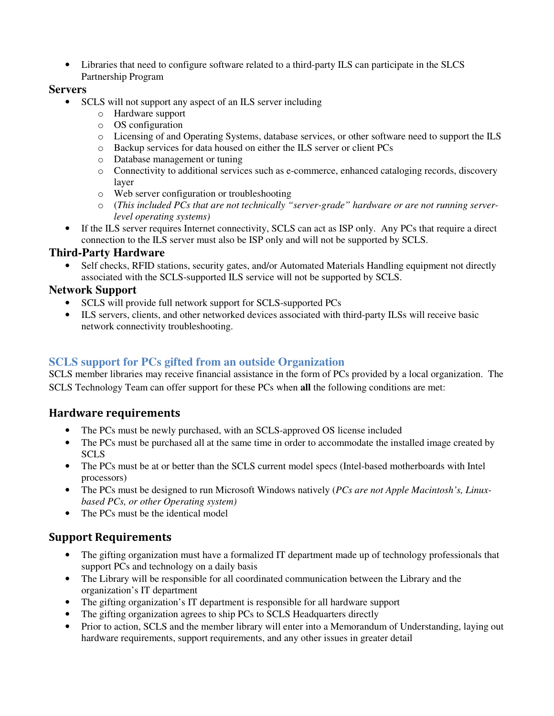• Libraries that need to configure software related to a third-party ILS can participate in the SLCS Partnership Program

#### **Servers**

- SCLS will not support any aspect of an ILS server including
	- o Hardware support
	- o OS configuration
	- o Licensing of and Operating Systems, database services, or other software need to support the ILS
	- o Backup services for data housed on either the ILS server or client PCs
	- o Database management or tuning
	- o Connectivity to additional services such as e-commerce, enhanced cataloging records, discovery layer
	- o Web server configuration or troubleshooting
	- o (*This included PCs that are not technically "server-grade" hardware or are not running serverlevel operating systems)*
- If the ILS server requires Internet connectivity, SCLS can act as ISP only. Any PCs that require a direct connection to the ILS server must also be ISP only and will not be supported by SCLS.

### **Third-Party Hardware**

• Self checks, RFID stations, security gates, and/or Automated Materials Handling equipment not directly associated with the SCLS-supported ILS service will not be supported by SCLS.

#### **Network Support**

- SCLS will provide full network support for SCLS-supported PCs
- ILS servers, clients, and other networked devices associated with third-party ILSs will receive basic network connectivity troubleshooting.

## **SCLS support for PCs gifted from an outside Organization**

SCLS member libraries may receive financial assistance in the form of PCs provided by a local organization. The SCLS Technology Team can offer support for these PCs when **all** the following conditions are met:

### Hardware requirements

- The PCs must be newly purchased, with an SCLS-approved OS license included
- The PCs must be purchased all at the same time in order to accommodate the installed image created by SCLS
- The PCs must be at or better than the SCLS current model specs (Intel-based motherboards with Intel processors)
- The PCs must be designed to run Microsoft Windows natively (*PCs are not Apple Macintosh's, Linuxbased PCs, or other Operating system)*
- The PCs must be the identical model

# Support Requirements

- The gifting organization must have a formalized IT department made up of technology professionals that support PCs and technology on a daily basis
- The Library will be responsible for all coordinated communication between the Library and the organization's IT department
- The gifting organization's IT department is responsible for all hardware support
- The gifting organization agrees to ship PCs to SCLS Headquarters directly
- Prior to action, SCLS and the member library will enter into a Memorandum of Understanding, laying out hardware requirements, support requirements, and any other issues in greater detail